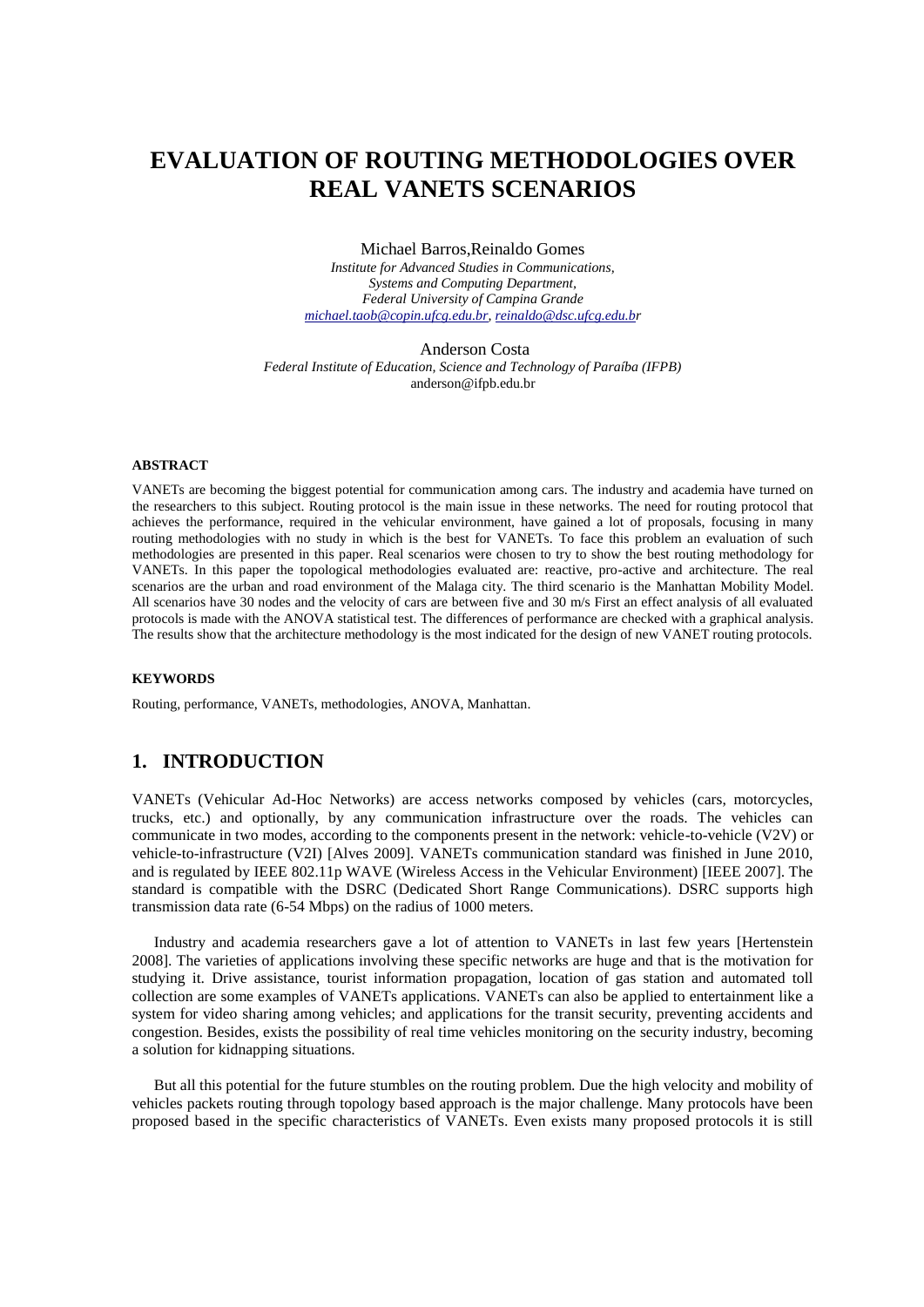# **EVALUATION OF ROUTING METHODOLOGIES OVER REAL VANETS SCENARIOS**

Michael Barros,Reinaldo Gomes

*Institute for Advanced Studies in Communications, Systems and Computing Department, Federal University of Campina Grande [michael.taob@copin.ufcg.edu.br,](mailto:michael.taob@copin.ufcg.edu.br) [reinaldo@dsc.ufcg.edu.br](mailto:reinaldo@dsc.ufcg.edu.br)*

Anderson Costa *Federal Institute of Education, Science and Technology of Paraíba (IFPB)* anderson@ifpb.edu.br

#### **ABSTRACT**

VANETs are becoming the biggest potential for communication among cars. The industry and academia have turned on the researchers to this subject. Routing protocol is the main issue in these networks. The need for routing protocol that achieves the performance, required in the vehicular environment, have gained a lot of proposals, focusing in many routing methodologies with no study in which is the best for VANETs. To face this problem an evaluation of such methodologies are presented in this paper. Real scenarios were chosen to try to show the best routing methodology for VANETs. In this paper the topological methodologies evaluated are: reactive, pro-active and architecture. The real scenarios are the urban and road environment of the Malaga city. The third scenario is the Manhattan Mobility Model. All scenarios have 30 nodes and the velocity of cars are between five and 30 m/s First an effect analysis of all evaluated protocols is made with the ANOVA statistical test. The differences of performance are checked with a graphical analysis. The results show that the architecture methodology is the most indicated for the design of new VANET routing protocols.

#### **KEYWORDS**

Routing, performance, VANETs, methodologies, ANOVA, Manhattan.

## **1. INTRODUCTION**

VANETs (Vehicular Ad-Hoc Networks) are access networks composed by vehicles (cars, motorcycles, trucks, etc.) and optionally, by any communication infrastructure over the roads. The vehicles can communicate in two modes, according to the components present in the network: vehicle-to-vehicle (V2V) or vehicle-to-infrastructure (V2I) [Alves 2009]. VANETs communication standard was finished in June 2010, and is regulated by IEEE 802.11p WAVE (Wireless Access in the Vehicular Environment) [IEEE 2007]. The standard is compatible with the DSRC (Dedicated Short Range Communications). DSRC supports high transmission data rate (6-54 Mbps) on the radius of 1000 meters.

Industry and academia researchers gave a lot of attention to VANETs in last few years [Hertenstein 2008]. The varieties of applications involving these specific networks are huge and that is the motivation for studying it. Drive assistance, tourist information propagation, location of gas station and automated toll collection are some examples of VANETs applications. VANETs can also be applied to entertainment like a system for video sharing among vehicles; and applications for the transit security, preventing accidents and congestion. Besides, exists the possibility of real time vehicles monitoring on the security industry, becoming a solution for kidnapping situations.

But all this potential for the future stumbles on the routing problem. Due the high velocity and mobility of vehicles packets routing through topology based approach is the major challenge. Many protocols have been proposed based in the specific characteristics of VANETs. Even exists many proposed protocols it is still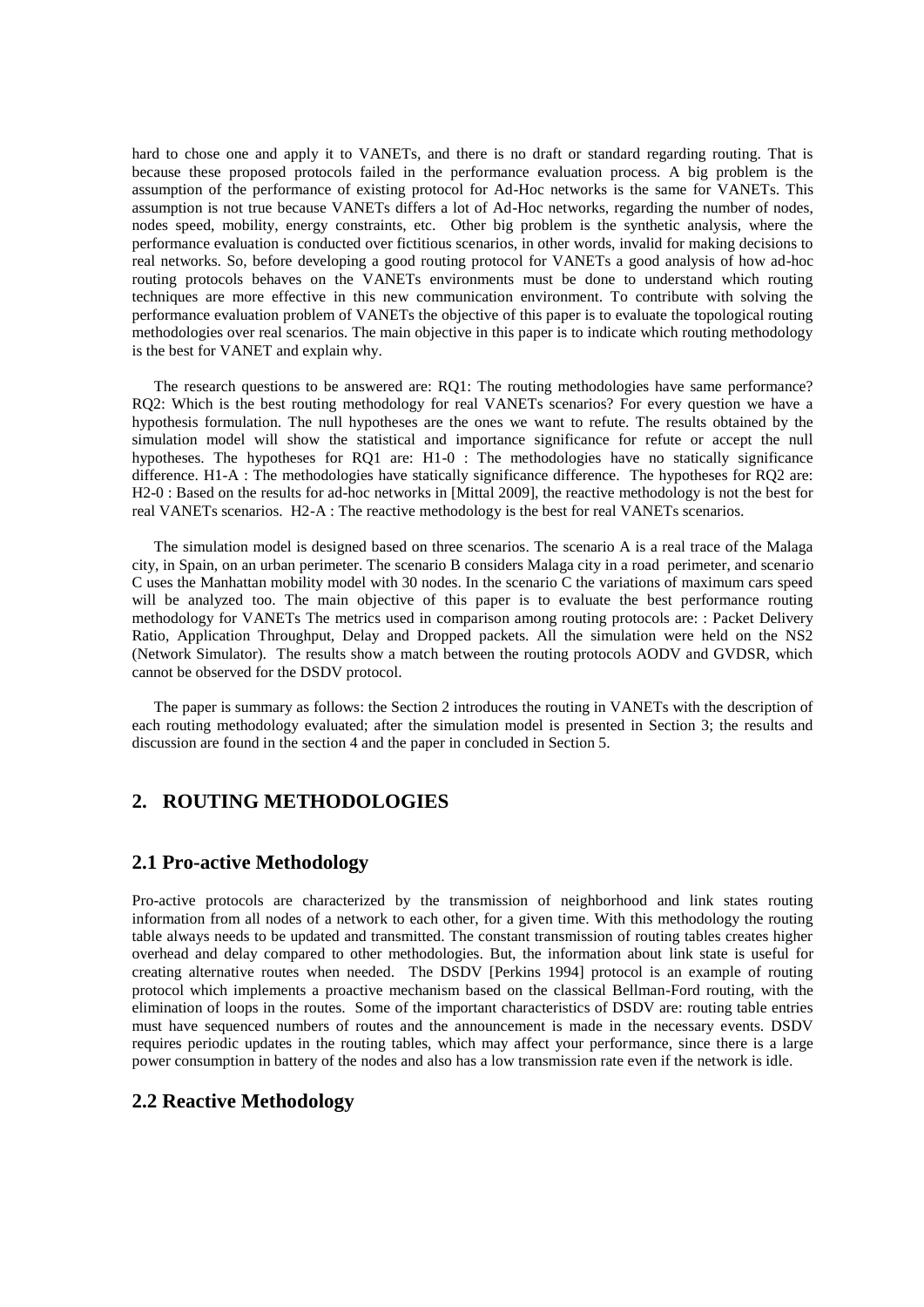hard to chose one and apply it to VANETs, and there is no draft or standard regarding routing. That is because these proposed protocols failed in the performance evaluation process. A big problem is the assumption of the performance of existing protocol for Ad-Hoc networks is the same for VANETs. This assumption is not true because VANETs differs a lot of Ad-Hoc networks, regarding the number of nodes, nodes speed, mobility, energy constraints, etc. Other big problem is the synthetic analysis, where the performance evaluation is conducted over fictitious scenarios, in other words, invalid for making decisions to real networks. So, before developing a good routing protocol for VANETs a good analysis of how ad-hoc routing protocols behaves on the VANETs environments must be done to understand which routing techniques are more effective in this new communication environment. To contribute with solving the performance evaluation problem of VANETs the objective of this paper is to evaluate the topological routing methodologies over real scenarios. The main objective in this paper is to indicate which routing methodology is the best for VANET and explain why.

The research questions to be answered are: RQ1: The routing methodologies have same performance? RQ2: Which is the best routing methodology for real VANETs scenarios? For every question we have a hypothesis formulation. The null hypotheses are the ones we want to refute. The results obtained by the simulation model will show the statistical and importance significance for refute or accept the null hypotheses. The hypotheses for RQ1 are: H1-0 : The methodologies have no statically significance difference. H1-A : The methodologies have statically significance difference. The hypotheses for RQ2 are: H2-0 : Based on the results for ad-hoc networks in [Mittal 2009], the reactive methodology is not the best for real VANETs scenarios. H2-A : The reactive methodology is the best for real VANETs scenarios.

The simulation model is designed based on three scenarios. The scenario A is a real trace of the Malaga city, in Spain, on an urban perimeter. The scenario B considers Malaga city in a road perimeter, and scenario C uses the Manhattan mobility model with 30 nodes. In the scenario C the variations of maximum cars speed will be analyzed too. The main objective of this paper is to evaluate the best performance routing methodology for VANETs The metrics used in comparison among routing protocols are: : Packet Delivery Ratio, Application Throughput, Delay and Dropped packets. All the simulation were held on the NS2 (Network Simulator). The results show a match between the routing protocols AODV and GVDSR, which cannot be observed for the DSDV protocol.

The paper is summary as follows: the Section 2 introduces the routing in VANETs with the description of each routing methodology evaluated; after the simulation model is presented in Section 3; the results and discussion are found in the section 4 and the paper in concluded in Section 5.

### **2. ROUTING METHODOLOGIES**

#### **2.1 Pro-active Methodology**

Pro-active protocols are characterized by the transmission of neighborhood and link states routing information from all nodes of a network to each other, for a given time. With this methodology the routing table always needs to be updated and transmitted. The constant transmission of routing tables creates higher overhead and delay compared to other methodologies. But, the information about link state is useful for creating alternative routes when needed. The DSDV [Perkins 1994] protocol is an example of routing protocol which implements a proactive mechanism based on the classical Bellman-Ford routing, with the elimination of loops in the routes. Some of the important characteristics of DSDV are: routing table entries must have sequenced numbers of routes and the announcement is made in the necessary events. DSDV requires periodic updates in the routing tables, which may affect your performance, since there is a large power consumption in battery of the nodes and also has a low transmission rate even if the network is idle.

#### **2.2 Reactive Methodology**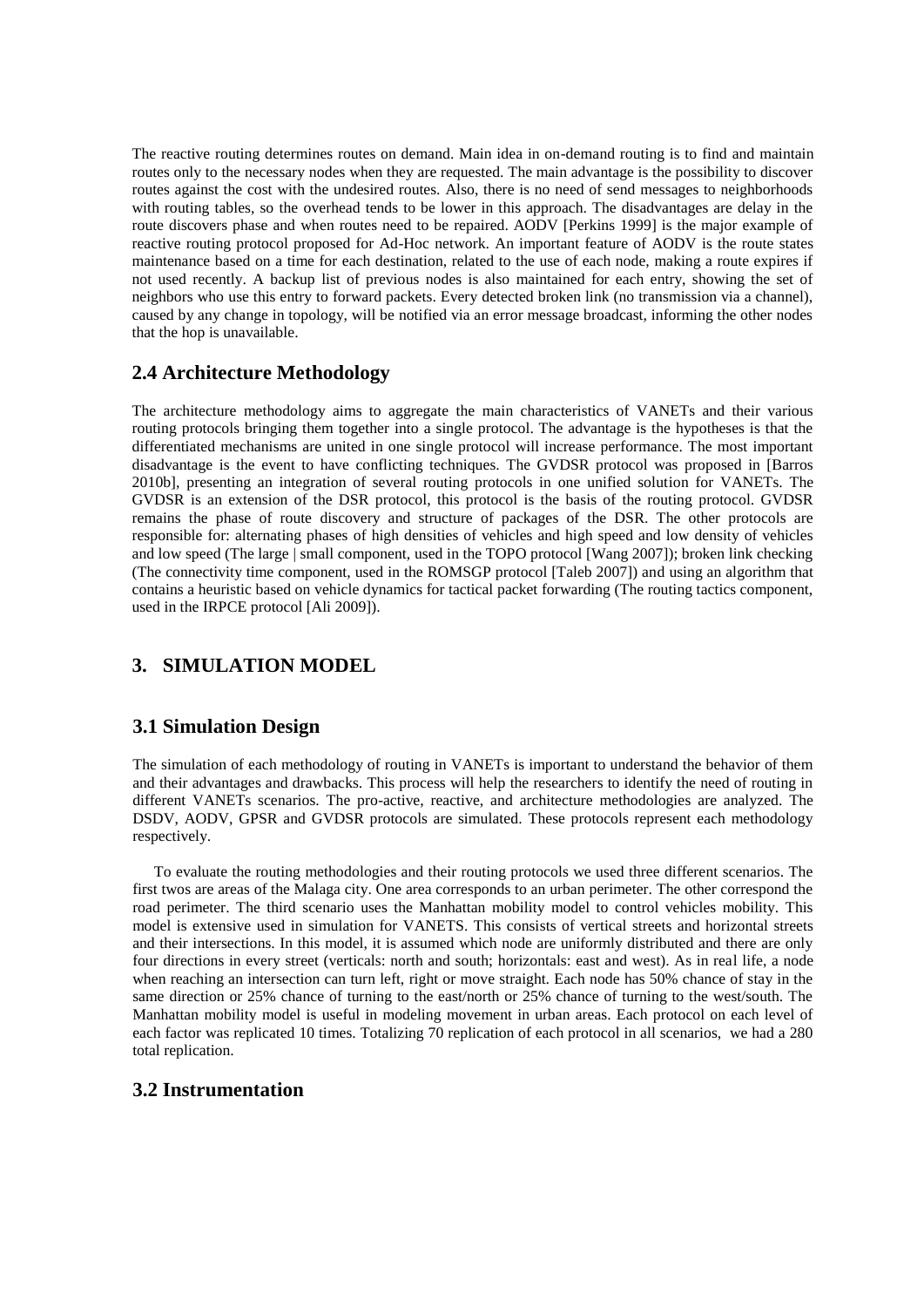The reactive routing determines routes on demand. Main idea in on-demand routing is to find and maintain routes only to the necessary nodes when they are requested. The main advantage is the possibility to discover routes against the cost with the undesired routes. Also, there is no need of send messages to neighborhoods with routing tables, so the overhead tends to be lower in this approach. The disadvantages are delay in the route discovers phase and when routes need to be repaired. AODV [Perkins 1999] is the major example of reactive routing protocol proposed for Ad-Hoc network. An important feature of AODV is the route states maintenance based on a time for each destination, related to the use of each node, making a route expires if not used recently. A backup list of previous nodes is also maintained for each entry, showing the set of neighbors who use this entry to forward packets. Every detected broken link (no transmission via a channel), caused by any change in topology, will be notified via an error message broadcast, informing the other nodes that the hop is unavailable.

## **2.4 Architecture Methodology**

The architecture methodology aims to aggregate the main characteristics of VANETs and their various routing protocols bringing them together into a single protocol. The advantage is the hypotheses is that the differentiated mechanisms are united in one single protocol will increase performance. The most important disadvantage is the event to have conflicting techniques. The GVDSR protocol was proposed in [Barros 2010b], presenting an integration of several routing protocols in one unified solution for VANETs. The GVDSR is an extension of the DSR protocol, this protocol is the basis of the routing protocol. GVDSR remains the phase of route discovery and structure of packages of the DSR. The other protocols are responsible for: alternating phases of high densities of vehicles and high speed and low density of vehicles and low speed (The large | small component, used in the TOPO protocol [Wang 2007]); broken link checking (The connectivity time component, used in the ROMSGP protocol [Taleb 2007]) and using an algorithm that contains a heuristic based on vehicle dynamics for tactical packet forwarding (The routing tactics component, used in the IRPCE protocol [Ali 2009]).

# **3. SIMULATION MODEL**

### **3.1 Simulation Design**

The simulation of each methodology of routing in VANETs is important to understand the behavior of them and their advantages and drawbacks. This process will help the researchers to identify the need of routing in different VANETs scenarios. The pro-active, reactive, and architecture methodologies are analyzed. The DSDV, AODV, GPSR and GVDSR protocols are simulated. These protocols represent each methodology respectively.

To evaluate the routing methodologies and their routing protocols we used three different scenarios. The first twos are areas of the Malaga city. One area corresponds to an urban perimeter. The other correspond the road perimeter. The third scenario uses the Manhattan mobility model to control vehicles mobility. This model is extensive used in simulation for VANETS. This consists of vertical streets and horizontal streets and their intersections. In this model, it is assumed which node are uniformly distributed and there are only four directions in every street (verticals: north and south; horizontals: east and west). As in real life, a node when reaching an intersection can turn left, right or move straight. Each node has 50% chance of stay in the same direction or 25% chance of turning to the east/north or 25% chance of turning to the west/south. The Manhattan mobility model is useful in modeling movement in urban areas. Each protocol on each level of each factor was replicated 10 times. Totalizing 70 replication of each protocol in all scenarios, we had a 280 total replication.

#### **3.2 Instrumentation**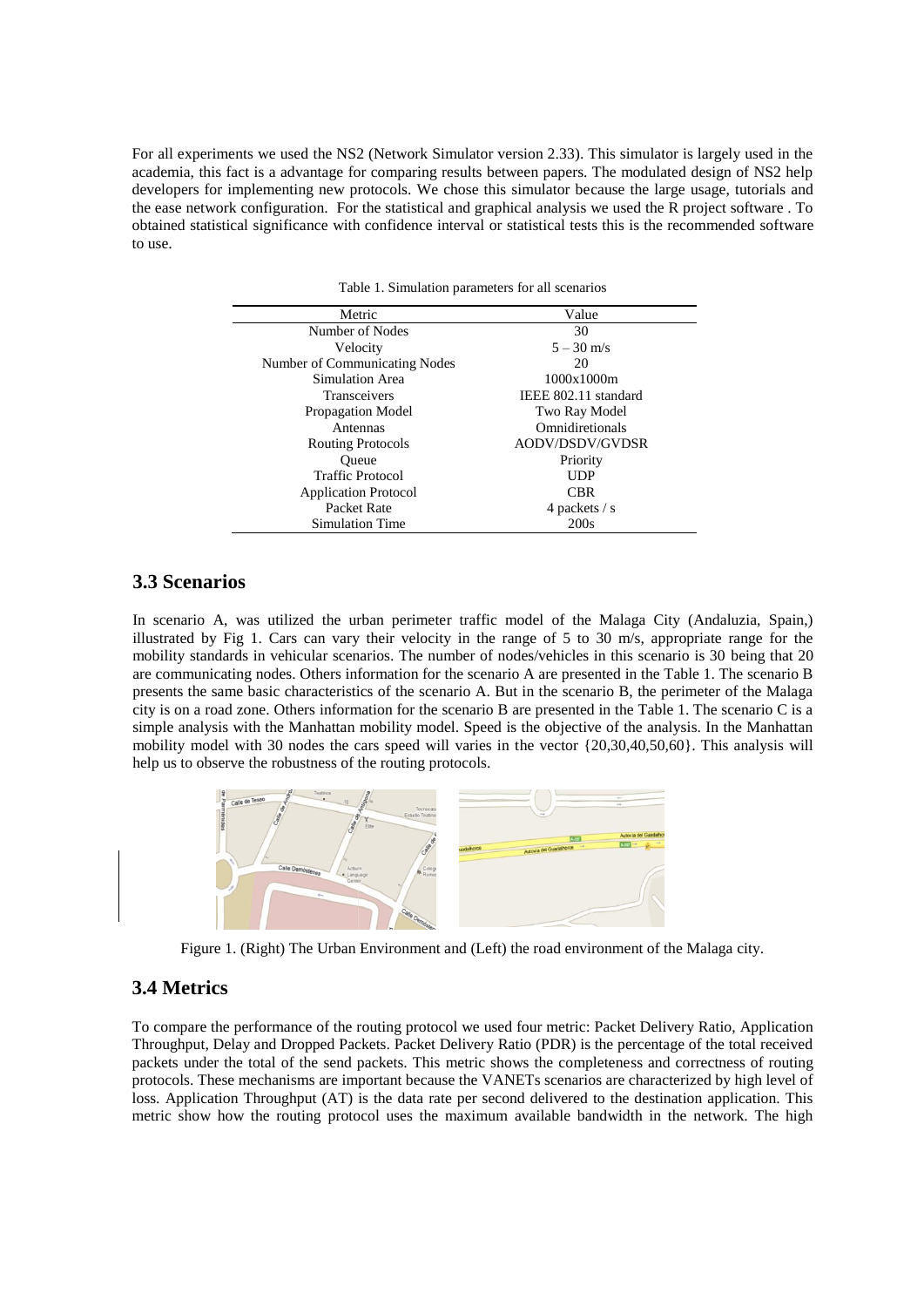For all experiments we used the NS2 (Network Simulator version 2.33). This simulator is largely used in the academia, this fact is a advantage for comparing results between papers. The modulated design of NS2 help developers for implementing new protocols. We chose this simulator because the large usage, tutorials and the ease network configuration. For the statistical and graphical analysis we used the R project software . To obtained statistical significance with confidence interval or statistical tests this is the recommended software to use.

Table 1. Simulation parameters for all scenarios

| Metric                        | Value                  |  |
|-------------------------------|------------------------|--|
| Number of Nodes               | 30                     |  |
| Velocity                      | $5 - 30$ m/s           |  |
| Number of Communicating Nodes | 20                     |  |
| Simulation Area               | 1000x1000m             |  |
| Transceivers                  | IEEE 802.11 standard   |  |
| Propagation Model             | Two Ray Model          |  |
| Antennas                      | Omnidiretionals        |  |
| <b>Routing Protocols</b>      | <b>AODV/DSDV/GVDSR</b> |  |
| Oueue                         | Priority               |  |
| <b>Traffic Protocol</b>       | <b>UDP</b>             |  |
| <b>Application Protocol</b>   | CBR                    |  |
| Packet Rate                   | 4 packets / s          |  |
| Simulation Time               | 200s                   |  |

### **3.3 Scenarios**

In scenario A, was utilized the urban perimeter traffic model of the Malaga City (Andaluzia, Spain,) illustrated by Fig 1. Cars can vary their velocity in the range of 5 to 30 m/s, appropriate range for the mobility standards in vehicular scenarios. The number of nodes/vehicles in this scenario is 30 being that 20 are communicating nodes. Others information for the scenario A are presented in the Table 1. The scenario B presents the same basic characteristics of the scenario A. But in the scenario B, the perimeter of the Malaga city is on a road zone. Others information for the scenario B are presented in the Table 1. The scenario C is a simple analysis with the Manhattan mobility model. Speed is the objective of the analysis. In the Manhattan mobility model with 30 nodes the cars speed will varies in the vector {20,30,40,50,60}. This analysis will help us to observe the robustness of the routing protocols.



Figure 1. (Right) The Urban Environment and (Left) the road environment of the Malaga city.

### **3.4 Metrics**

To compare the performance of the routing protocol we used four metric: Packet Delivery Ratio, Application Throughput, Delay and Dropped Packets. Packet Delivery Ratio (PDR) is the percentage of the total received packets under the total of the send packets. This metric shows the completeness and correctness of routing protocols. These mechanisms are important because the VANETs scenarios are characterized by high level of loss. Application Throughput (AT) is the data rate per second delivered to the destination application. This metric show how the routing protocol uses the maximum available bandwidth in the network. The high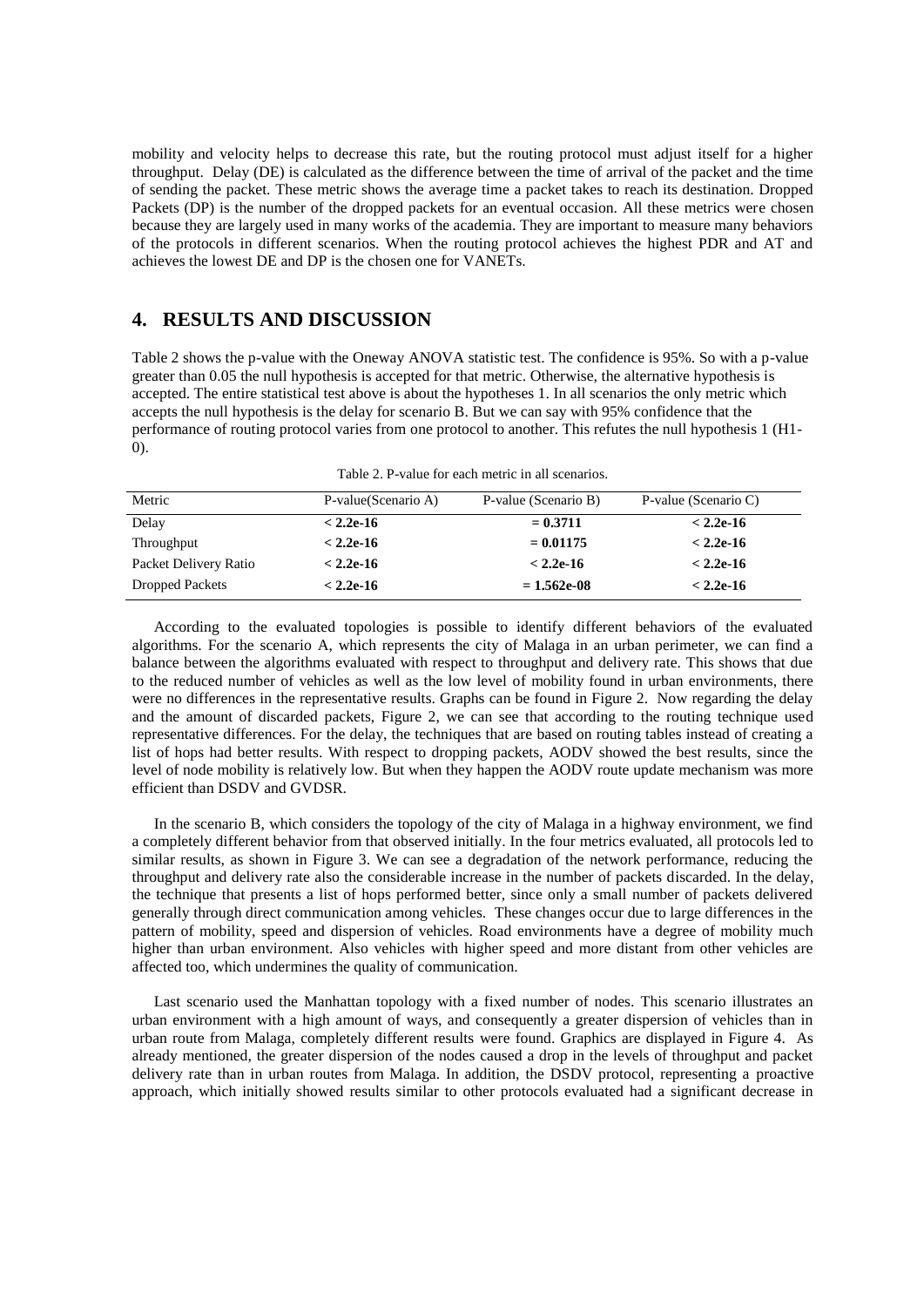mobility and velocity helps to decrease this rate, but the routing protocol must adjust itself for a higher throughput. Delay (DE) is calculated as the difference between the time of arrival of the packet and the time of sending the packet. These metric shows the average time a packet takes to reach its destination. Dropped Packets (DP) is the number of the dropped packets for an eventual occasion. All these metrics were chosen because they are largely used in many works of the academia. They are important to measure many behaviors of the protocols in different scenarios. When the routing protocol achieves the highest PDR and AT and achieves the lowest DE and DP is the chosen one for VANETs.

### **4. RESULTS AND DISCUSSION**

Table 2 shows the p-value with the Oneway ANOVA statistic test. The confidence is 95%. So with a p-value greater than 0.05 the null hypothesis is accepted for that metric. Otherwise, the alternative hypothesis is accepted. The entire statistical test above is about the hypotheses 1. In all scenarios the only metric which accepts the null hypothesis is the delay for scenario B. But we can say with 95% confidence that the performance of routing protocol varies from one protocol to another. This refutes the null hypothesis 1 (H1- 0).

Table 2. P-value for each metric in all scenarios.

| Metric                 | P-value(Scenario A) | P-value (Scenario B) | P-value (Scenario C) |
|------------------------|---------------------|----------------------|----------------------|
| Delay                  | $< 2.2e-16$         | $= 0.3711$           | $< 2.2e-16$          |
| Throughput             | $< 2.2e-16$         | $= 0.01175$          | $< 2.2e-16$          |
| Packet Delivery Ratio  | $< 2.2e-16$         | $< 2.2e-16$          | $< 2.2e-16$          |
| <b>Dropped Packets</b> | $< 2.2e-16$         | $= 1.562e-08$        | $< 2.2e-16$          |

According to the evaluated topologies is possible to identify different behaviors of the evaluated algorithms. For the scenario A, which represents the city of Malaga in an urban perimeter, we can find a balance between the algorithms evaluated with respect to throughput and delivery rate. This shows that due to the reduced number of vehicles as well as the low level of mobility found in urban environments, there were no differences in the representative results. Graphs can be found in Figure 2. Now regarding the delay and the amount of discarded packets, Figure 2, we can see that according to the routing technique used representative differences. For the delay, the techniques that are based on routing tables instead of creating a list of hops had better results. With respect to dropping packets, AODV showed the best results, since the level of node mobility is relatively low. But when they happen the AODV route update mechanism was more efficient than DSDV and GVDSR.

In the scenario B, which considers the topology of the city of Malaga in a highway environment, we find a completely different behavior from that observed initially. In the four metrics evaluated, all protocols led to similar results, as shown in Figure 3. We can see a degradation of the network performance, reducing the throughput and delivery rate also the considerable increase in the number of packets discarded. In the delay, the technique that presents a list of hops performed better, since only a small number of packets delivered generally through direct communication among vehicles. These changes occur due to large differences in the pattern of mobility, speed and dispersion of vehicles. Road environments have a degree of mobility much higher than urban environment. Also vehicles with higher speed and more distant from other vehicles are affected too, which undermines the quality of communication.

Last scenario used the Manhattan topology with a fixed number of nodes. This scenario illustrates an urban environment with a high amount of ways, and consequently a greater dispersion of vehicles than in urban route from Malaga, completely different results were found. Graphics are displayed in Figure 4. As already mentioned, the greater dispersion of the nodes caused a drop in the levels of throughput and packet delivery rate than in urban routes from Malaga. In addition, the DSDV protocol, representing a proactive approach, which initially showed results similar to other protocols evaluated had a significant decrease in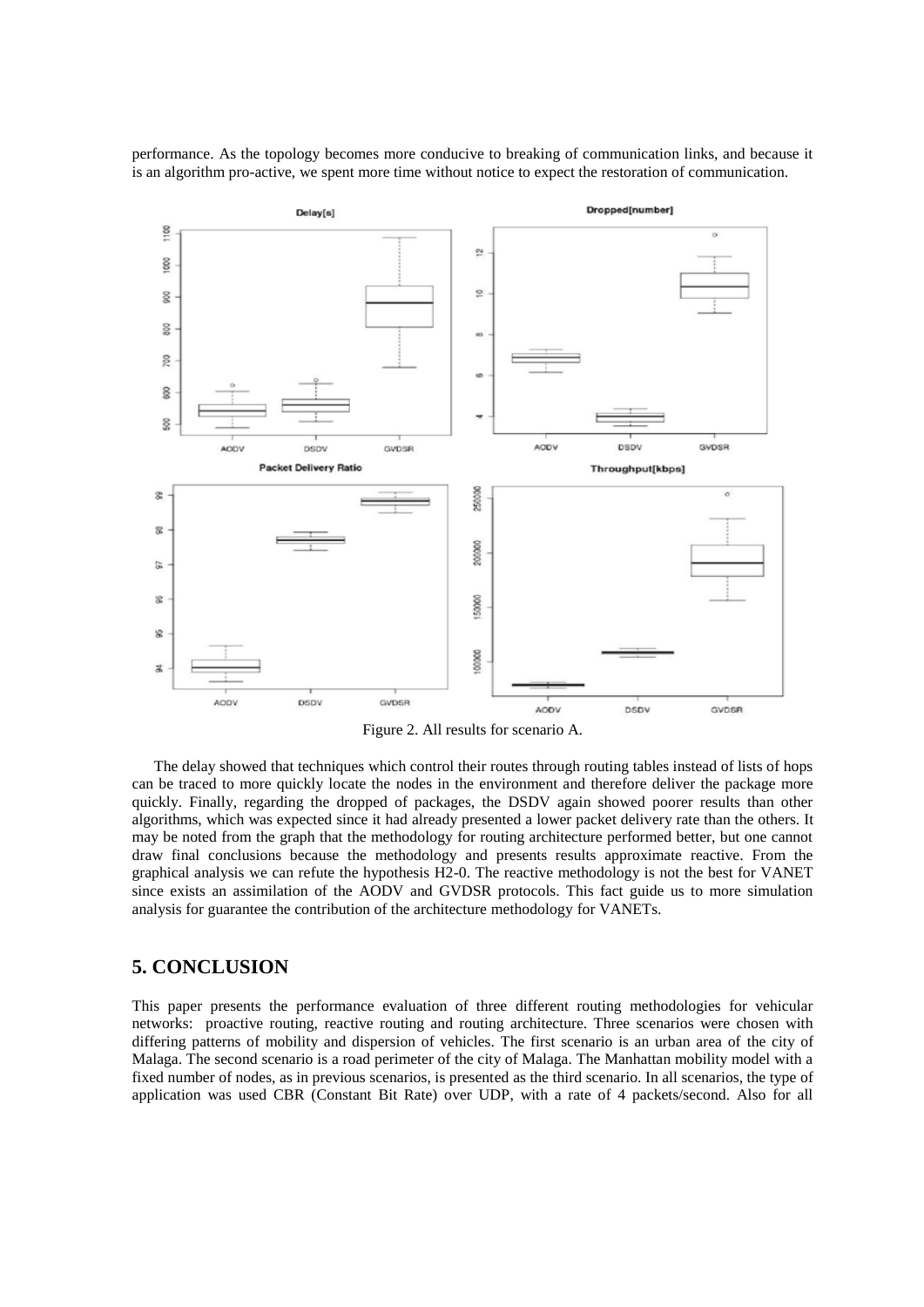Dropped[number] Delay[s]  $\frac{8}{2}$  $\tilde{\mathbf{c}}$ 8  $\circ$ g  $800$ g 8 ş GVDSR **AODV DSDV** GVDSR ACOV DSDV **Packet Delivery Ratio** Throughput[kbps] 250000 g 受 500000  $\sum_{i=1}^{n}$ æ 500000  $\frac{1}{2}$ 000000  $\mathbb{R}$ **DSDV** GVDSR **AODV** AODV DSDV GVDSR

performance. As the topology becomes more conducive to breaking of communication links, and because it is an algorithm pro-active, we spent more time without notice to expect the restoration of communication.

Figure 2. All results for scenario A.

The delay showed that techniques which control their routes through routing tables instead of lists of hops can be traced to more quickly locate the nodes in the environment and therefore deliver the package more quickly. Finally, regarding the dropped of packages, the DSDV again showed poorer results than other algorithms, which was expected since it had already presented a lower packet delivery rate than the others. It may be noted from the graph that the methodology for routing architecture performed better, but one cannot draw final conclusions because the methodology and presents results approximate reactive. From the graphical analysis we can refute the hypothesis H2-0. The reactive methodology is not the best for VANET since exists an assimilation of the AODV and GVDSR protocols. This fact guide us to more simulation analysis for guarantee the contribution of the architecture methodology for VANETs.

#### **5. CONCLUSION**

This paper presents the performance evaluation of three different routing methodologies for vehicular networks: proactive routing, reactive routing and routing architecture. Three scenarios were chosen with differing patterns of mobility and dispersion of vehicles. The first scenario is an urban area of the city of Malaga. The second scenario is a road perimeter of the city of Malaga. The Manhattan mobility model with a fixed number of nodes, as in previous scenarios, is presented as the third scenario. In all scenarios, the type of application was used CBR (Constant Bit Rate) over UDP, with a rate of 4 packets/second. Also for all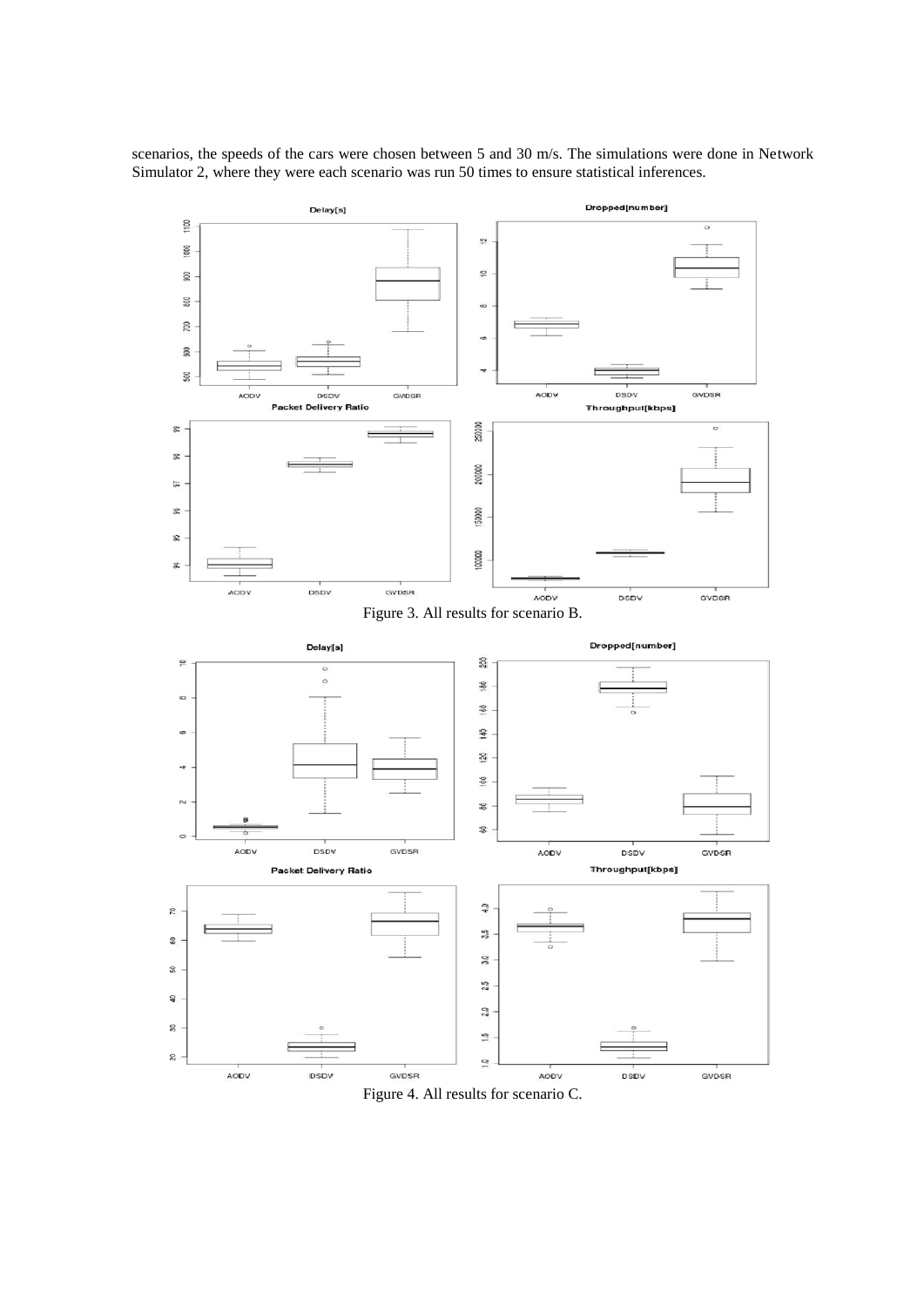scenarios, the speeds of the cars were chosen between 5 and 30 m/s. The simulations were done in Network Simulator 2, where they were each scenario was run 50 times to ensure statistical inferences.